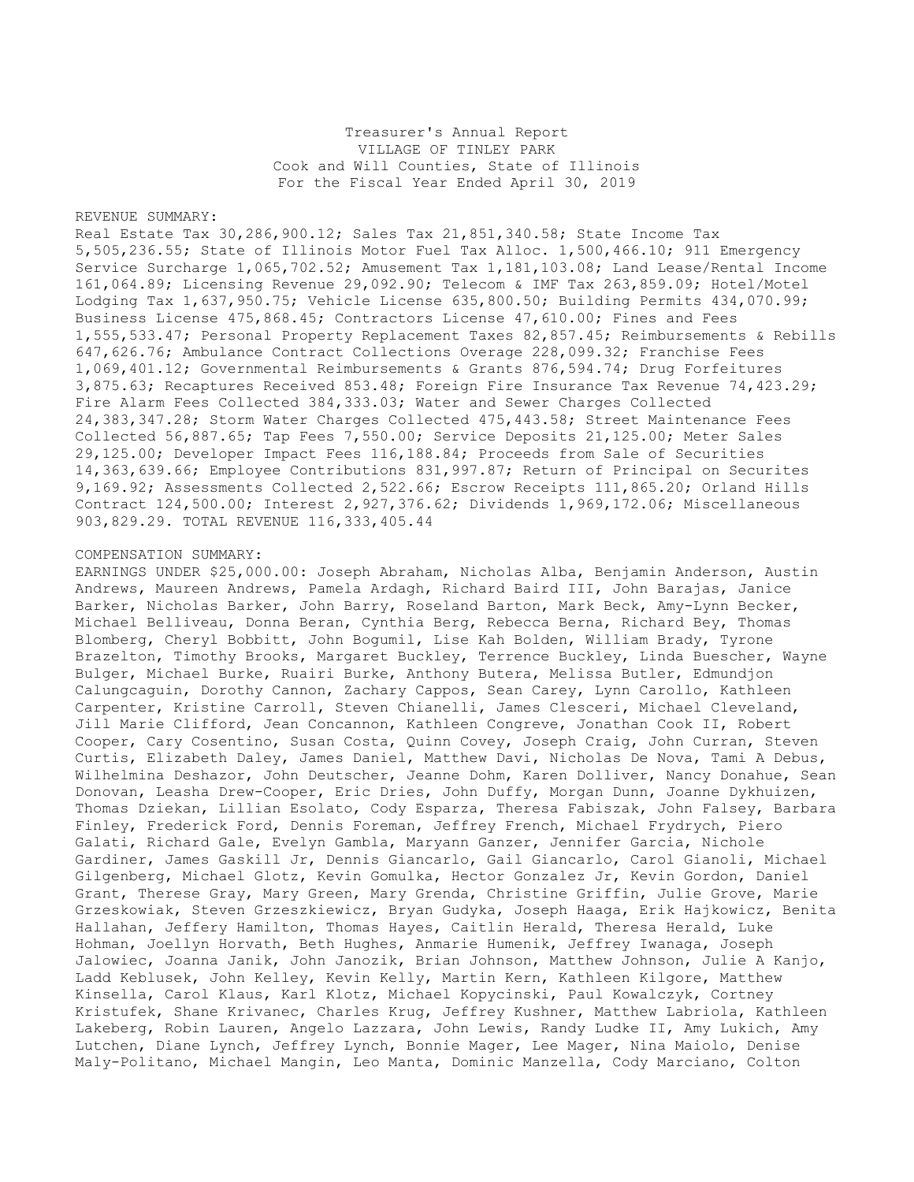Treasurer's Annual Report VILLAGE OF TINLEY PARK Cook and Will Counties, State of Illinois For the Fiscal Year Ended April 30, 2019

## REVENUE SUMMARY:

Real Estate Tax 30,286,900.12; Sales Tax 21,851,340.58; State Income Tax 5,505,236.55; State of Illinois Motor Fuel Tax Alloc. 1,500,466.10; 911 Emergency Service Surcharge 1,065,702.52; Amusement Tax 1,181,103.08; Land Lease/Rental Income 161,064.89; Licensing Revenue 29,092.90; Telecom & IMF Tax 263,859.09; Hotel/Motel Lodging Tax 1,637,950.75; Vehicle License 635,800.50; Building Permits 434,070.99; Business License 475,868.45; Contractors License 47,610.00; Fines and Fees 1,555,533.47; Personal Property Replacement Taxes 82,857.45; Reimbursements & Rebills 647,626.76; Ambulance Contract Collections Overage 228,099.32; Franchise Fees 1,069,401.12; Governmental Reimbursements & Grants 876,594.74; Drug Forfeitures 3,875.63; Recaptures Received 853.48; Foreign Fire Insurance Tax Revenue 74,423.29; Fire Alarm Fees Collected 384,333.03; Water and Sewer Charges Collected 24,383,347.28; Storm Water Charges Collected 475,443.58; Street Maintenance Fees Collected 56,887.65; Tap Fees 7,550.00; Service Deposits 21,125.00; Meter Sales 29,125.00; Developer Impact Fees 116,188.84; Proceeds from Sale of Securities 14,363,639.66; Employee Contributions 831,997.87; Return of Principal on Securites 9,169.92; Assessments Collected 2,522.66; Escrow Receipts 111,865.20; Orland Hills Contract 124,500.00; Interest 2,927,376.62; Dividends 1,969,172.06; Miscellaneous 903,829.29. TOTAL REVENUE 116,333,405.44

## COMPENSATION SUMMARY:

EARNINGS UNDER \$25,000.00: Joseph Abraham, Nicholas Alba, Benjamin Anderson, Austin Andrews, Maureen Andrews, Pamela Ardagh, Richard Baird III, John Barajas, Janice Barker, Nicholas Barker, John Barry, Roseland Barton, Mark Beck, Amy-Lynn Becker, Michael Belliveau, Donna Beran, Cynthia Berg, Rebecca Berna, Richard Bey, Thomas Blomberg, Cheryl Bobbitt, John Bogumil, Lise Kah Bolden, William Brady, Tyrone Brazelton, Timothy Brooks, Margaret Buckley, Terrence Buckley, Linda Buescher, Wayne Bulger, Michael Burke, Ruairi Burke, Anthony Butera, Melissa Butler, Edmundjon Calungcaguin, Dorothy Cannon, Zachary Cappos, Sean Carey, Lynn Carollo, Kathleen Carpenter, Kristine Carroll, Steven Chianelli, James Clesceri, Michael Cleveland, Jill Marie Clifford, Jean Concannon, Kathleen Congreve, Jonathan Cook II, Robert Cooper, Cary Cosentino, Susan Costa, Quinn Covey, Joseph Craig, John Curran, Steven Curtis, Elizabeth Daley, James Daniel, Matthew Davi, Nicholas De Nova, Tami A Debus, Wilhelmina Deshazor, John Deutscher, Jeanne Dohm, Karen Dolliver, Nancy Donahue, Sean Donovan, Leasha Drew-Cooper, Eric Dries, John Duffy, Morgan Dunn, Joanne Dykhuizen, Thomas Dziekan, Lillian Esolato, Cody Esparza, Theresa Fabiszak, John Falsey, Barbara Finley, Frederick Ford, Dennis Foreman, Jeffrey French, Michael Frydrych, Piero Galati, Richard Gale, Evelyn Gambla, Maryann Ganzer, Jennifer Garcia, Nichole Gardiner, James Gaskill Jr, Dennis Giancarlo, Gail Giancarlo, Carol Gianoli, Michael Gilgenberg, Michael Glotz, Kevin Gomulka, Hector Gonzalez Jr, Kevin Gordon, Daniel Grant, Therese Gray, Mary Green, Mary Grenda, Christine Griffin, Julie Grove, Marie Grzeskowiak, Steven Grzeszkiewicz, Bryan Gudyka, Joseph Haaga, Erik Hajkowicz, Benita Hallahan, Jeffery Hamilton, Thomas Hayes, Caitlin Herald, Theresa Herald, Luke Hohman, Joellyn Horvath, Beth Hughes, Anmarie Humenik, Jeffrey Iwanaga, Joseph Jalowiec, Joanna Janik, John Janozik, Brian Johnson, Matthew Johnson, Julie A Kanjo, Ladd Keblusek, John Kelley, Kevin Kelly, Martin Kern, Kathleen Kilgore, Matthew Kinsella, Carol Klaus, Karl Klotz, Michael Kopycinski, Paul Kowalczyk, Cortney Kristufek, Shane Krivanec, Charles Krug, Jeffrey Kushner, Matthew Labriola, Kathleen Lakeberg, Robin Lauren, Angelo Lazzara, John Lewis, Randy Ludke II, Amy Lukich, Amy Lutchen, Diane Lynch, Jeffrey Lynch, Bonnie Mager, Lee Mager, Nina Maiolo, Denise Maly-Politano, Michael Mangin, Leo Manta, Dominic Manzella, Cody Marciano, Colton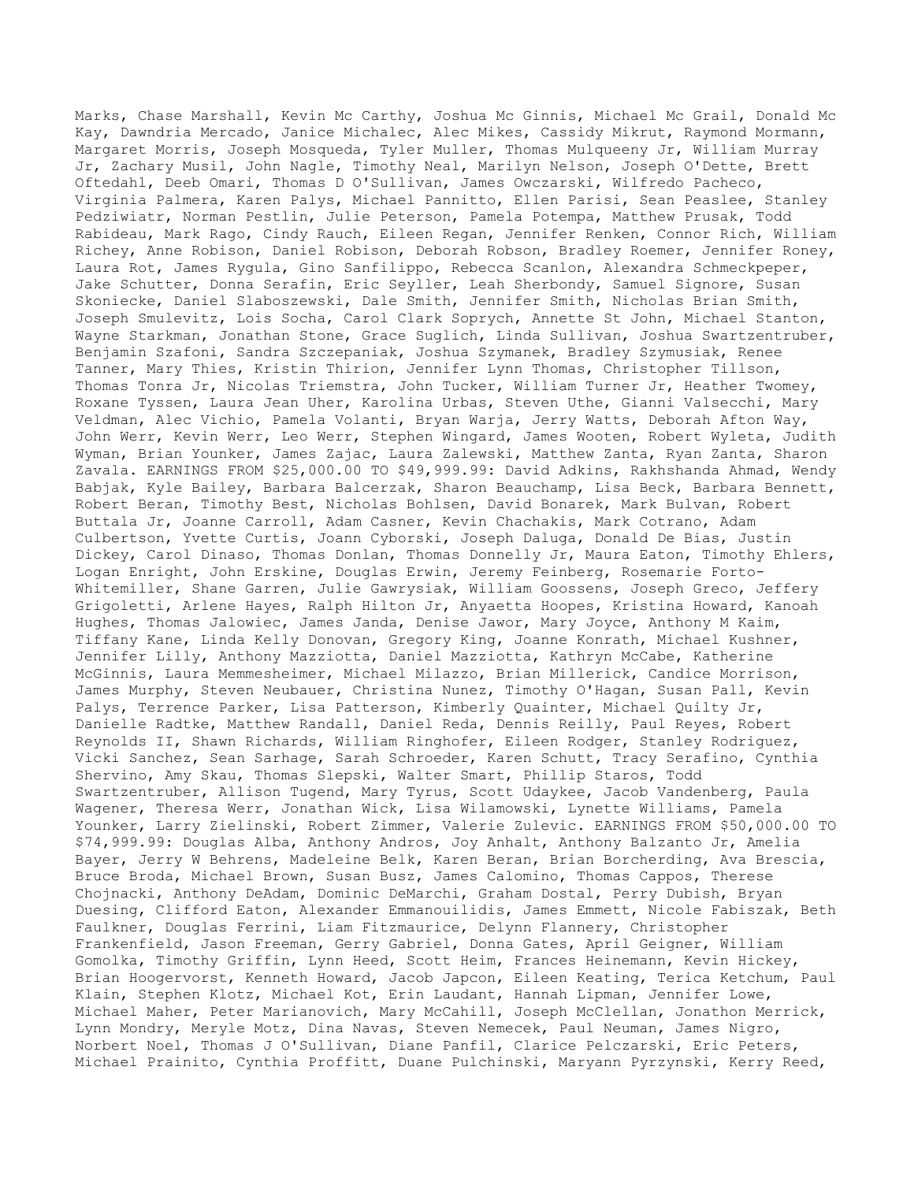Marks, Chase Marshall, Kevin Mc Carthy, Joshua Mc Ginnis, Michael Mc Grail, Donald Mc Kay, Dawndria Mercado, Janice Michalec, Alec Mikes, Cassidy Mikrut, Raymond Mormann, Margaret Morris, Joseph Mosqueda, Tyler Muller, Thomas Mulqueeny Jr, William Murray Jr, Zachary Musil, John Nagle, Timothy Neal, Marilyn Nelson, Joseph O'Dette, Brett Oftedahl, Deeb Omari, Thomas D O'Sullivan, James Owczarski, Wilfredo Pacheco, Virginia Palmera, Karen Palys, Michael Pannitto, Ellen Parisi, Sean Peaslee, Stanley Pedziwiatr, Norman Pestlin, Julie Peterson, Pamela Potempa, Matthew Prusak, Todd Rabideau, Mark Rago, Cindy Rauch, Eileen Regan, Jennifer Renken, Connor Rich, William Richey, Anne Robison, Daniel Robison, Deborah Robson, Bradley Roemer, Jennifer Roney, Laura Rot, James Rygula, Gino Sanfilippo, Rebecca Scanlon, Alexandra Schmeckpeper, Jake Schutter, Donna Serafin, Eric Seyller, Leah Sherbondy, Samuel Signore, Susan Skoniecke, Daniel Slaboszewski, Dale Smith, Jennifer Smith, Nicholas Brian Smith, Joseph Smulevitz, Lois Socha, Carol Clark Soprych, Annette St John, Michael Stanton, Wayne Starkman, Jonathan Stone, Grace Suglich, Linda Sullivan, Joshua Swartzentruber, Benjamin Szafoni, Sandra Szczepaniak, Joshua Szymanek, Bradley Szymusiak, Renee Tanner, Mary Thies, Kristin Thirion, Jennifer Lynn Thomas, Christopher Tillson, Thomas Tonra Jr, Nicolas Triemstra, John Tucker, William Turner Jr, Heather Twomey, Roxane Tyssen, Laura Jean Uher, Karolina Urbas, Steven Uthe, Gianni Valsecchi, Mary Veldman, Alec Vichio, Pamela Volanti, Bryan Warja, Jerry Watts, Deborah Afton Way, John Werr, Kevin Werr, Leo Werr, Stephen Wingard, James Wooten, Robert Wyleta, Judith Wyman, Brian Younker, James Zajac, Laura Zalewski, Matthew Zanta, Ryan Zanta, Sharon Zavala. EARNINGS FROM \$25,000.00 TO \$49,999.99: David Adkins, Rakhshanda Ahmad, Wendy Babjak, Kyle Bailey, Barbara Balcerzak, Sharon Beauchamp, Lisa Beck, Barbara Bennett, Robert Beran, Timothy Best, Nicholas Bohlsen, David Bonarek, Mark Bulvan, Robert Buttala Jr, Joanne Carroll, Adam Casner, Kevin Chachakis, Mark Cotrano, Adam Culbertson, Yvette Curtis, Joann Cyborski, Joseph Daluga, Donald De Bias, Justin Dickey, Carol Dinaso, Thomas Donlan, Thomas Donnelly Jr, Maura Eaton, Timothy Ehlers, Logan Enright, John Erskine, Douglas Erwin, Jeremy Feinberg, Rosemarie Forto-Whitemiller, Shane Garren, Julie Gawrysiak, William Goossens, Joseph Greco, Jeffery Grigoletti, Arlene Hayes, Ralph Hilton Jr, Anyaetta Hoopes, Kristina Howard, Kanoah Hughes, Thomas Jalowiec, James Janda, Denise Jawor, Mary Joyce, Anthony M Kaim, Tiffany Kane, Linda Kelly Donovan, Gregory King, Joanne Konrath, Michael Kushner, Jennifer Lilly, Anthony Mazziotta, Daniel Mazziotta, Kathryn McCabe, Katherine McGinnis, Laura Memmesheimer, Michael Milazzo, Brian Millerick, Candice Morrison, James Murphy, Steven Neubauer, Christina Nunez, Timothy O'Hagan, Susan Pall, Kevin Palys, Terrence Parker, Lisa Patterson, Kimberly Quainter, Michael Quilty Jr, Danielle Radtke, Matthew Randall, Daniel Reda, Dennis Reilly, Paul Reyes, Robert Reynolds II, Shawn Richards, William Ringhofer, Eileen Rodger, Stanley Rodriguez, Vicki Sanchez, Sean Sarhage, Sarah Schroeder, Karen Schutt, Tracy Serafino, Cynthia Shervino, Amy Skau, Thomas Slepski, Walter Smart, Phillip Staros, Todd Swartzentruber, Allison Tugend, Mary Tyrus, Scott Udaykee, Jacob Vandenberg, Paula Wagener, Theresa Werr, Jonathan Wick, Lisa Wilamowski, Lynette Williams, Pamela Younker, Larry Zielinski, Robert Zimmer, Valerie Zulevic. EARNINGS FROM \$50,000.00 TO \$74,999.99: Douglas Alba, Anthony Andros, Joy Anhalt, Anthony Balzanto Jr, Amelia Bayer, Jerry W Behrens, Madeleine Belk, Karen Beran, Brian Borcherding, Ava Brescia, Bruce Broda, Michael Brown, Susan Busz, James Calomino, Thomas Cappos, Therese Chojnacki, Anthony DeAdam, Dominic DeMarchi, Graham Dostal, Perry Dubish, Bryan Duesing, Clifford Eaton, Alexander Emmanouilidis, James Emmett, Nicole Fabiszak, Beth Faulkner, Douglas Ferrini, Liam Fitzmaurice, Delynn Flannery, Christopher Frankenfield, Jason Freeman, Gerry Gabriel, Donna Gates, April Geigner, William Gomolka, Timothy Griffin, Lynn Heed, Scott Heim, Frances Heinemann, Kevin Hickey, Brian Hoogervorst, Kenneth Howard, Jacob Japcon, Eileen Keating, Terica Ketchum, Paul Klain, Stephen Klotz, Michael Kot, Erin Laudant, Hannah Lipman, Jennifer Lowe, Michael Maher, Peter Marianovich, Mary McCahill, Joseph McClellan, Jonathon Merrick, Lynn Mondry, Meryle Motz, Dina Navas, Steven Nemecek, Paul Neuman, James Nigro, Norbert Noel, Thomas J O'Sullivan, Diane Panfil, Clarice Pelczarski, Eric Peters, Michael Prainito, Cynthia Proffitt, Duane Pulchinski, Maryann Pyrzynski, Kerry Reed,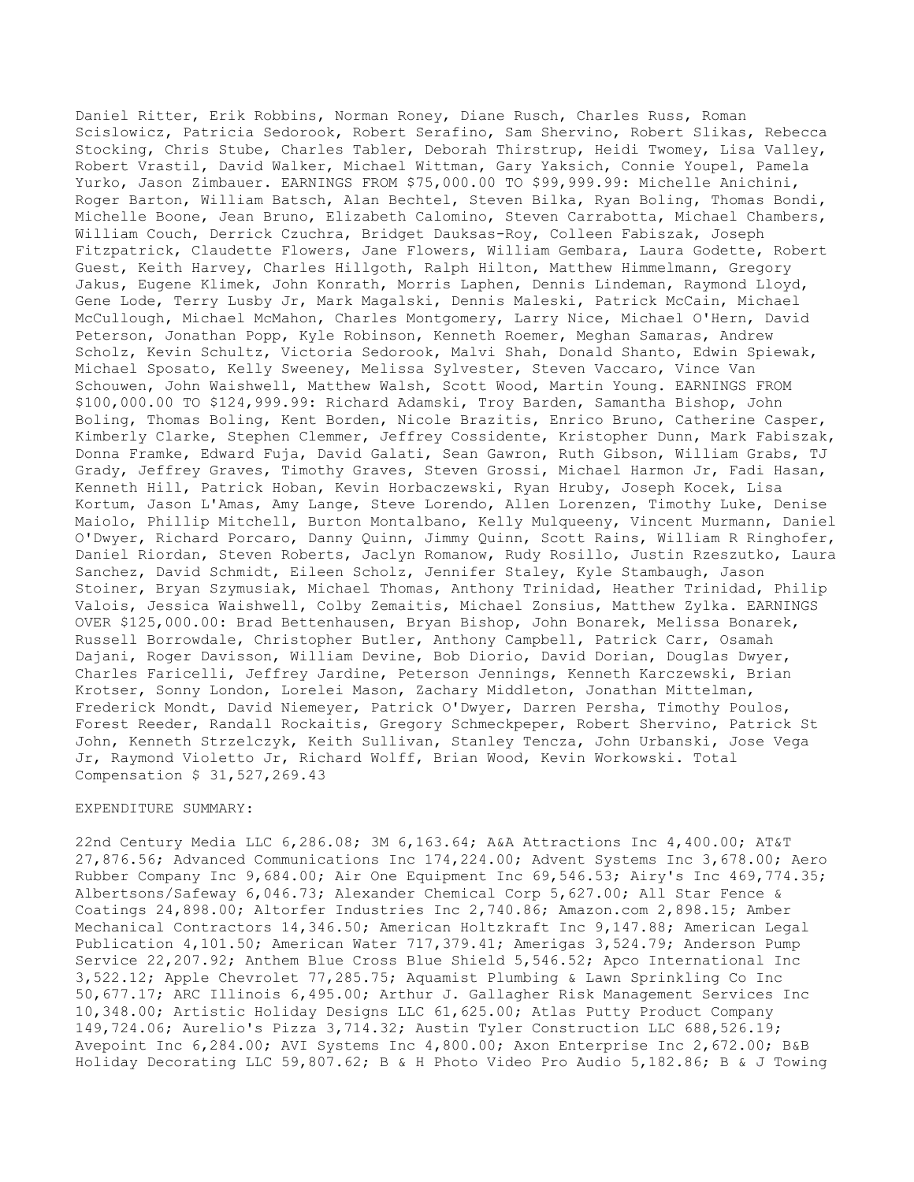Daniel Ritter, Erik Robbins, Norman Roney, Diane Rusch, Charles Russ, Roman Scislowicz, Patricia Sedorook, Robert Serafino, Sam Shervino, Robert Slikas, Rebecca Stocking, Chris Stube, Charles Tabler, Deborah Thirstrup, Heidi Twomey, Lisa Valley, Robert Vrastil, David Walker, Michael Wittman, Gary Yaksich, Connie Youpel, Pamela Yurko, Jason Zimbauer. EARNINGS FROM \$75,000.00 TO \$99,999.99: Michelle Anichini, Roger Barton, William Batsch, Alan Bechtel, Steven Bilka, Ryan Boling, Thomas Bondi, Michelle Boone, Jean Bruno, Elizabeth Calomino, Steven Carrabotta, Michael Chambers, William Couch, Derrick Czuchra, Bridget Dauksas-Roy, Colleen Fabiszak, Joseph Fitzpatrick, Claudette Flowers, Jane Flowers, William Gembara, Laura Godette, Robert Guest, Keith Harvey, Charles Hillgoth, Ralph Hilton, Matthew Himmelmann, Gregory Jakus, Eugene Klimek, John Konrath, Morris Laphen, Dennis Lindeman, Raymond Lloyd, Gene Lode, Terry Lusby Jr, Mark Magalski, Dennis Maleski, Patrick McCain, Michael McCullough, Michael McMahon, Charles Montgomery, Larry Nice, Michael O'Hern, David Peterson, Jonathan Popp, Kyle Robinson, Kenneth Roemer, Meghan Samaras, Andrew Scholz, Kevin Schultz, Victoria Sedorook, Malvi Shah, Donald Shanto, Edwin Spiewak, Michael Sposato, Kelly Sweeney, Melissa Sylvester, Steven Vaccaro, Vince Van Schouwen, John Waishwell, Matthew Walsh, Scott Wood, Martin Young. EARNINGS FROM \$100,000.00 TO \$124,999.99: Richard Adamski, Troy Barden, Samantha Bishop, John Boling, Thomas Boling, Kent Borden, Nicole Brazitis, Enrico Bruno, Catherine Casper, Kimberly Clarke, Stephen Clemmer, Jeffrey Cossidente, Kristopher Dunn, Mark Fabiszak, Donna Framke, Edward Fuja, David Galati, Sean Gawron, Ruth Gibson, William Grabs, TJ Grady, Jeffrey Graves, Timothy Graves, Steven Grossi, Michael Harmon Jr, Fadi Hasan, Kenneth Hill, Patrick Hoban, Kevin Horbaczewski, Ryan Hruby, Joseph Kocek, Lisa Kortum, Jason L'Amas, Amy Lange, Steve Lorendo, Allen Lorenzen, Timothy Luke, Denise Maiolo, Phillip Mitchell, Burton Montalbano, Kelly Mulqueeny, Vincent Murmann, Daniel O'Dwyer, Richard Porcaro, Danny Quinn, Jimmy Quinn, Scott Rains, William R Ringhofer, Daniel Riordan, Steven Roberts, Jaclyn Romanow, Rudy Rosillo, Justin Rzeszutko, Laura Sanchez, David Schmidt, Eileen Scholz, Jennifer Staley, Kyle Stambaugh, Jason Stoiner, Bryan Szymusiak, Michael Thomas, Anthony Trinidad, Heather Trinidad, Philip Valois, Jessica Waishwell, Colby Zemaitis, Michael Zonsius, Matthew Zylka. EARNINGS OVER \$125,000.00: Brad Bettenhausen, Bryan Bishop, John Bonarek, Melissa Bonarek, Russell Borrowdale, Christopher Butler, Anthony Campbell, Patrick Carr, Osamah Dajani, Roger Davisson, William Devine, Bob Diorio, David Dorian, Douglas Dwyer, Charles Faricelli, Jeffrey Jardine, Peterson Jennings, Kenneth Karczewski, Brian Krotser, Sonny London, Lorelei Mason, Zachary Middleton, Jonathan Mittelman, Frederick Mondt, David Niemeyer, Patrick O'Dwyer, Darren Persha, Timothy Poulos, Forest Reeder, Randall Rockaitis, Gregory Schmeckpeper, Robert Shervino, Patrick St John, Kenneth Strzelczyk, Keith Sullivan, Stanley Tencza, John Urbanski, Jose Vega Jr, Raymond Violetto Jr, Richard Wolff, Brian Wood, Kevin Workowski. Total Compensation \$ 31,527,269.43

## EXPENDITURE SUMMARY:

22nd Century Media LLC 6,286.08; 3M 6,163.64; A&A Attractions Inc 4,400.00; AT&T 27,876.56; Advanced Communications Inc 174,224.00; Advent Systems Inc 3,678.00; Aero Rubber Company Inc 9,684.00; Air One Equipment Inc 69,546.53; Airy's Inc 469,774.35; Albertsons/Safeway 6,046.73; Alexander Chemical Corp 5,627.00; All Star Fence & Coatings 24,898.00; Altorfer Industries Inc 2,740.86; Amazon.com 2,898.15; Amber Mechanical Contractors 14,346.50; American Holtzkraft Inc 9,147.88; American Legal Publication 4,101.50; American Water 717,379.41; Amerigas 3,524.79; Anderson Pump Service 22,207.92; Anthem Blue Cross Blue Shield 5,546.52; Apco International Inc 3,522.12; Apple Chevrolet 77,285.75; Aquamist Plumbing & Lawn Sprinkling Co Inc 50,677.17; ARC Illinois 6,495.00; Arthur J. Gallagher Risk Management Services Inc 10,348.00; Artistic Holiday Designs LLC 61,625.00; Atlas Putty Product Company 149,724.06; Aurelio's Pizza 3,714.32; Austin Tyler Construction LLC 688,526.19; Avepoint Inc 6,284.00; AVI Systems Inc 4,800.00; Axon Enterprise Inc 2,672.00; B&B Holiday Decorating LLC 59,807.62; B & H Photo Video Pro Audio 5,182.86; B & J Towing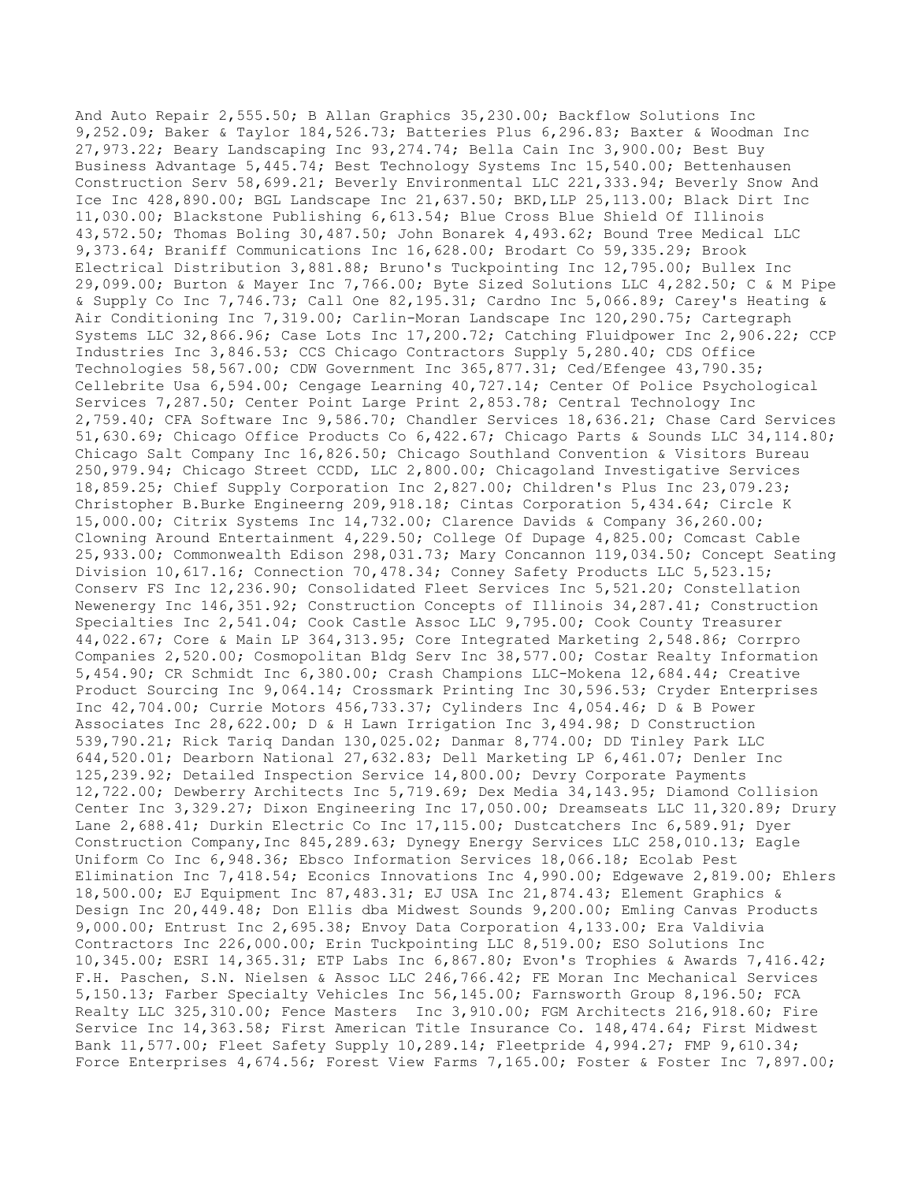And Auto Repair 2,555.50; B Allan Graphics 35,230.00; Backflow Solutions Inc 9,252.09; Baker & Taylor 184,526.73; Batteries Plus 6,296.83; Baxter & Woodman Inc 27,973.22; Beary Landscaping Inc 93,274.74; Bella Cain Inc 3,900.00; Best Buy Business Advantage 5,445.74; Best Technology Systems Inc 15,540.00; Bettenhausen Construction Serv 58,699.21; Beverly Environmental LLC 221,333.94; Beverly Snow And Ice Inc 428,890.00; BGL Landscape Inc 21,637.50; BKD,LLP 25,113.00; Black Dirt Inc 11,030.00; Blackstone Publishing 6,613.54; Blue Cross Blue Shield Of Illinois 43,572.50; Thomas Boling 30,487.50; John Bonarek 4,493.62; Bound Tree Medical LLC 9,373.64; Braniff Communications Inc 16,628.00; Brodart Co 59,335.29; Brook Electrical Distribution 3,881.88; Bruno's Tuckpointing Inc 12,795.00; Bullex Inc 29,099.00; Burton & Mayer Inc 7,766.00; Byte Sized Solutions LLC 4,282.50; C & M Pipe & Supply Co Inc 7,746.73; Call One 82,195.31; Cardno Inc 5,066.89; Carey's Heating & Air Conditioning Inc 7,319.00; Carlin-Moran Landscape Inc 120,290.75; Cartegraph Systems LLC 32,866.96; Case Lots Inc 17,200.72; Catching Fluidpower Inc 2,906.22; CCP Industries Inc 3,846.53; CCS Chicago Contractors Supply 5,280.40; CDS Office Technologies 58,567.00; CDW Government Inc 365,877.31; Ced/Efengee 43,790.35; Cellebrite Usa 6,594.00; Cengage Learning 40,727.14; Center Of Police Psychological Services 7,287.50; Center Point Large Print 2,853.78; Central Technology Inc 2,759.40; CFA Software Inc 9,586.70; Chandler Services 18,636.21; Chase Card Services 51,630.69; Chicago Office Products Co 6,422.67; Chicago Parts & Sounds LLC 34,114.80; Chicago Salt Company Inc 16,826.50; Chicago Southland Convention & Visitors Bureau 250,979.94; Chicago Street CCDD, LLC 2,800.00; Chicagoland Investigative Services 18,859.25; Chief Supply Corporation Inc 2,827.00; Children's Plus Inc 23,079.23; Christopher B.Burke Engineerng 209,918.18; Cintas Corporation 5,434.64; Circle K 15,000.00; Citrix Systems Inc 14,732.00; Clarence Davids & Company 36,260.00; Clowning Around Entertainment 4,229.50; College Of Dupage 4,825.00; Comcast Cable 25,933.00; Commonwealth Edison 298,031.73; Mary Concannon 119,034.50; Concept Seating Division 10,617.16; Connection 70,478.34; Conney Safety Products LLC 5,523.15; Conserv FS Inc 12,236.90; Consolidated Fleet Services Inc 5,521.20; Constellation Newenergy Inc 146,351.92; Construction Concepts of Illinois 34,287.41; Construction Specialties Inc 2,541.04; Cook Castle Assoc LLC 9,795.00; Cook County Treasurer 44,022.67; Core & Main LP 364,313.95; Core Integrated Marketing 2,548.86; Corrpro Companies 2,520.00; Cosmopolitan Bldg Serv Inc 38,577.00; Costar Realty Information 5,454.90; CR Schmidt Inc 6,380.00; Crash Champions LLC-Mokena 12,684.44; Creative Product Sourcing Inc 9,064.14; Crossmark Printing Inc 30,596.53; Cryder Enterprises Inc 42,704.00; Currie Motors 456,733.37; Cylinders Inc 4,054.46; D & B Power Associates Inc 28,622.00; D & H Lawn Irrigation Inc 3,494.98; D Construction 539,790.21; Rick Tariq Dandan 130,025.02; Danmar 8,774.00; DD Tinley Park LLC 644,520.01; Dearborn National 27,632.83; Dell Marketing LP 6,461.07; Denler Inc 125,239.92; Detailed Inspection Service 14,800.00; Devry Corporate Payments 12,722.00; Dewberry Architects Inc 5,719.69; Dex Media 34,143.95; Diamond Collision Center Inc 3,329.27; Dixon Engineering Inc 17,050.00; Dreamseats LLC 11,320.89; Drury Lane 2,688.41; Durkin Electric Co Inc 17,115.00; Dustcatchers Inc 6,589.91; Dyer Construction Company,Inc 845,289.63; Dynegy Energy Services LLC 258,010.13; Eagle Uniform Co Inc 6,948.36; Ebsco Information Services 18,066.18; Ecolab Pest Elimination Inc 7,418.54; Econics Innovations Inc 4,990.00; Edgewave 2,819.00; Ehlers 18,500.00; EJ Equipment Inc 87,483.31; EJ USA Inc 21,874.43; Element Graphics & Design Inc 20,449.48; Don Ellis dba Midwest Sounds 9,200.00; Emling Canvas Products 9,000.00; Entrust Inc 2,695.38; Envoy Data Corporation 4,133.00; Era Valdivia Contractors Inc 226,000.00; Erin Tuckpointing LLC 8,519.00; ESO Solutions Inc 10,345.00; ESRI 14,365.31; ETP Labs Inc 6,867.80; Evon's Trophies & Awards 7,416.42; F.H. Paschen, S.N. Nielsen & Assoc LLC 246,766.42; FE Moran Inc Mechanical Services 5,150.13; Farber Specialty Vehicles Inc 56,145.00; Farnsworth Group 8,196.50; FCA Realty LLC 325,310.00; Fence Masters Inc 3,910.00; FGM Architects 216,918.60; Fire Service Inc 14,363.58; First American Title Insurance Co. 148,474.64; First Midwest Bank 11,577.00; Fleet Safety Supply 10,289.14; Fleetpride 4,994.27; FMP 9,610.34; Force Enterprises 4,674.56; Forest View Farms 7,165.00; Foster & Foster Inc 7,897.00;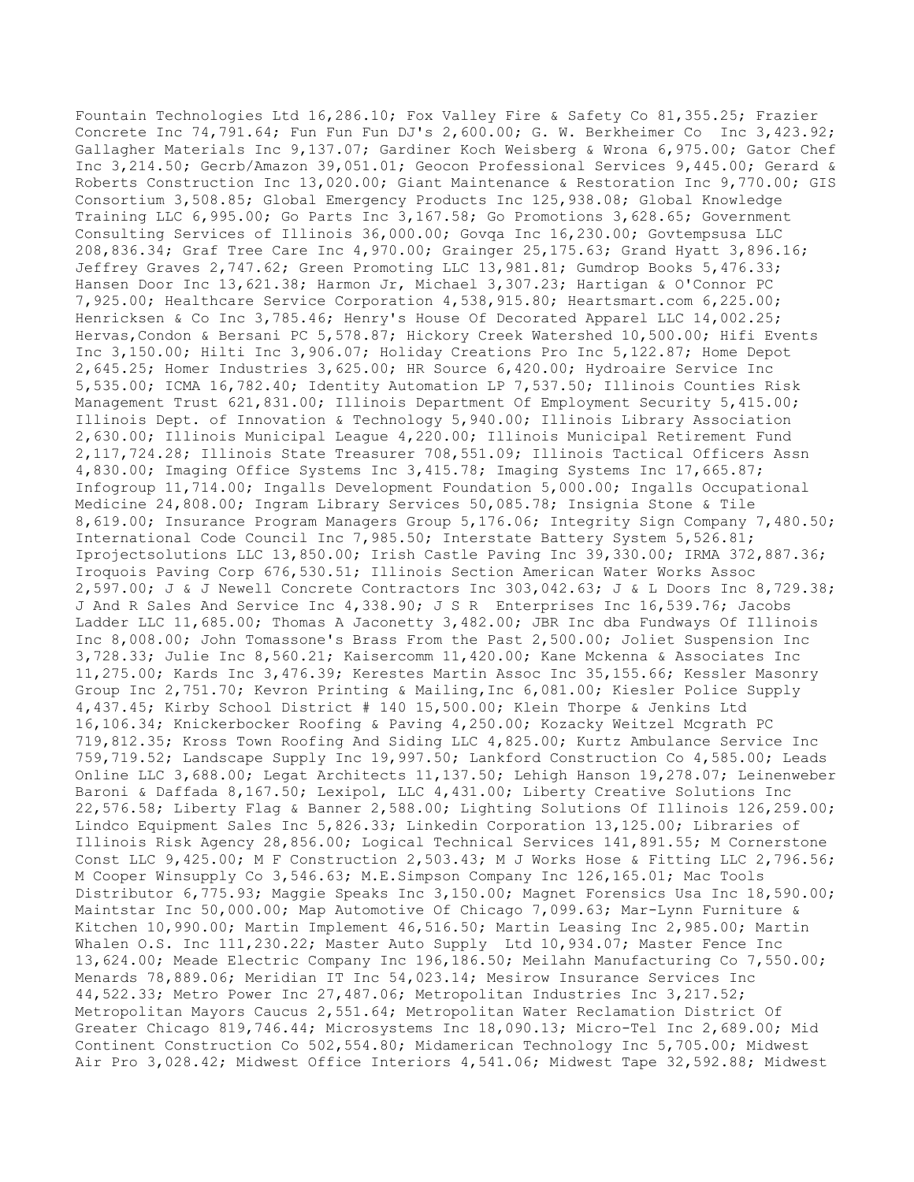Fountain Technologies Ltd 16,286.10; Fox Valley Fire & Safety Co 81,355.25; Frazier Concrete Inc 74,791.64; Fun Fun Fun DJ's 2,600.00; G. W. Berkheimer Co Inc 3,423.92; Gallagher Materials Inc 9,137.07; Gardiner Koch Weisberg & Wrona 6,975.00; Gator Chef Inc 3,214.50; Gecrb/Amazon 39,051.01; Geocon Professional Services 9,445.00; Gerard & Roberts Construction Inc 13,020.00; Giant Maintenance & Restoration Inc 9,770.00; GIS Consortium 3,508.85; Global Emergency Products Inc 125,938.08; Global Knowledge Training LLC 6,995.00; Go Parts Inc 3,167.58; Go Promotions 3,628.65; Government Consulting Services of Illinois 36,000.00; Govqa Inc 16,230.00; Govtempsusa LLC 208,836.34; Graf Tree Care Inc 4,970.00; Grainger 25,175.63; Grand Hyatt 3,896.16; Jeffrey Graves 2,747.62; Green Promoting LLC 13,981.81; Gumdrop Books 5,476.33; Hansen Door Inc 13,621.38; Harmon Jr, Michael 3,307.23; Hartigan & O'Connor PC 7,925.00; Healthcare Service Corporation 4,538,915.80; Heartsmart.com 6,225.00; Henricksen & Co Inc 3,785.46; Henry's House Of Decorated Apparel LLC 14,002.25; Hervas,Condon & Bersani PC 5,578.87; Hickory Creek Watershed 10,500.00; Hifi Events Inc 3,150.00; Hilti Inc 3,906.07; Holiday Creations Pro Inc 5,122.87; Home Depot 2,645.25; Homer Industries 3,625.00; HR Source 6,420.00; Hydroaire Service Inc 5,535.00; ICMA 16,782.40; Identity Automation LP 7,537.50; Illinois Counties Risk Management Trust 621,831.00; Illinois Department Of Employment Security 5,415.00; Illinois Dept. of Innovation & Technology 5,940.00; Illinois Library Association 2,630.00; Illinois Municipal League 4,220.00; Illinois Municipal Retirement Fund 2,117,724.28; Illinois State Treasurer 708,551.09; Illinois Tactical Officers Assn 4,830.00; Imaging Office Systems Inc 3,415.78; Imaging Systems Inc 17,665.87; Infogroup 11,714.00; Ingalls Development Foundation 5,000.00; Ingalls Occupational Medicine 24,808.00; Ingram Library Services 50,085.78; Insignia Stone & Tile 8,619.00; Insurance Program Managers Group 5,176.06; Integrity Sign Company 7,480.50; International Code Council Inc 7,985.50; Interstate Battery System 5,526.81; Iprojectsolutions LLC 13,850.00; Irish Castle Paving Inc 39,330.00; IRMA 372,887.36; Iroquois Paving Corp 676,530.51; Illinois Section American Water Works Assoc 2,597.00; J & J Newell Concrete Contractors Inc 303,042.63; J & L Doors Inc 8,729.38; J And R Sales And Service Inc 4,338.90; J S R Enterprises Inc 16,539.76; Jacobs Ladder LLC 11,685.00; Thomas A Jaconetty 3,482.00; JBR Inc dba Fundways Of Illinois Inc 8,008.00; John Tomassone's Brass From the Past 2,500.00; Joliet Suspension Inc 3,728.33; Julie Inc 8,560.21; Kaisercomm 11,420.00; Kane Mckenna & Associates Inc 11,275.00; Kards Inc 3,476.39; Kerestes Martin Assoc Inc 35,155.66; Kessler Masonry Group Inc 2,751.70; Kevron Printing & Mailing,Inc 6,081.00; Kiesler Police Supply 4,437.45; Kirby School District # 140 15,500.00; Klein Thorpe & Jenkins Ltd 16,106.34; Knickerbocker Roofing & Paving 4,250.00; Kozacky Weitzel Mcgrath PC 719,812.35; Kross Town Roofing And Siding LLC 4,825.00; Kurtz Ambulance Service Inc 759,719.52; Landscape Supply Inc 19,997.50; Lankford Construction Co 4,585.00; Leads Online LLC 3,688.00; Legat Architects 11,137.50; Lehigh Hanson 19,278.07; Leinenweber Baroni & Daffada 8,167.50; Lexipol, LLC 4,431.00; Liberty Creative Solutions Inc 22,576.58; Liberty Flag & Banner 2,588.00; Lighting Solutions Of Illinois 126,259.00; Lindco Equipment Sales Inc 5,826.33; Linkedin Corporation 13,125.00; Libraries of Illinois Risk Agency 28,856.00; Logical Technical Services 141,891.55; M Cornerstone Const LLC 9,425.00; M F Construction 2,503.43; M J Works Hose & Fitting LLC 2,796.56; M Cooper Winsupply Co 3,546.63; M.E.Simpson Company Inc 126,165.01; Mac Tools Distributor 6,775.93; Maggie Speaks Inc 3,150.00; Magnet Forensics Usa Inc 18,590.00; Maintstar Inc 50,000.00; Map Automotive Of Chicago 7,099.63; Mar-Lynn Furniture & Kitchen 10,990.00; Martin Implement 46,516.50; Martin Leasing Inc 2,985.00; Martin Whalen O.S. Inc 111, 230.22; Master Auto Supply Ltd 10, 934.07; Master Fence Inc 13,624.00; Meade Electric Company Inc 196,186.50; Meilahn Manufacturing Co 7,550.00; Menards 78,889.06; Meridian IT Inc 54,023.14; Mesirow Insurance Services Inc 44,522.33; Metro Power Inc 27,487.06; Metropolitan Industries Inc 3,217.52; Metropolitan Mayors Caucus 2,551.64; Metropolitan Water Reclamation District Of Greater Chicago 819,746.44; Microsystems Inc 18,090.13; Micro-Tel Inc 2,689.00; Mid Continent Construction Co 502,554.80; Midamerican Technology Inc 5,705.00; Midwest Air Pro 3,028.42; Midwest Office Interiors 4,541.06; Midwest Tape 32,592.88; Midwest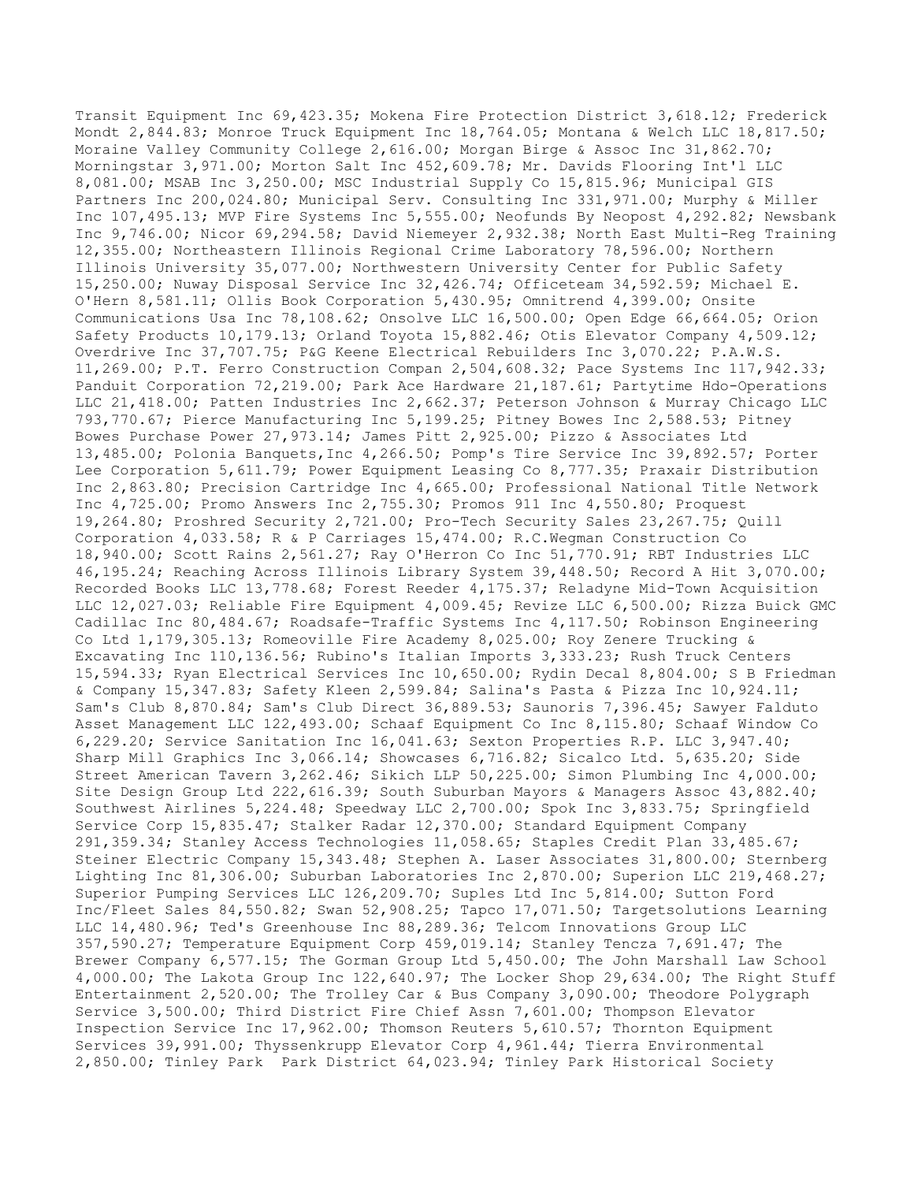Transit Equipment Inc 69,423.35; Mokena Fire Protection District 3,618.12; Frederick Mondt 2,844.83; Monroe Truck Equipment Inc 18,764.05; Montana & Welch LLC 18,817.50; Moraine Valley Community College 2,616.00; Morgan Birge & Assoc Inc 31,862.70; Morningstar 3,971.00; Morton Salt Inc 452,609.78; Mr. Davids Flooring Int'l LLC 8,081.00; MSAB Inc 3,250.00; MSC Industrial Supply Co 15,815.96; Municipal GIS Partners Inc 200,024.80; Municipal Serv. Consulting Inc 331,971.00; Murphy & Miller Inc 107,495.13; MVP Fire Systems Inc 5,555.00; Neofunds By Neopost 4,292.82; Newsbank Inc 9,746.00; Nicor 69,294.58; David Niemeyer 2,932.38; North East Multi-Reg Training 12,355.00; Northeastern Illinois Regional Crime Laboratory 78,596.00; Northern Illinois University 35,077.00; Northwestern University Center for Public Safety 15,250.00; Nuway Disposal Service Inc 32,426.74; Officeteam 34,592.59; Michael E. O'Hern 8,581.11; Ollis Book Corporation 5,430.95; Omnitrend 4,399.00; Onsite Communications Usa Inc 78,108.62; Onsolve LLC 16,500.00; Open Edge 66,664.05; Orion Safety Products 10,179.13; Orland Toyota 15,882.46; Otis Elevator Company 4,509.12; Overdrive Inc 37,707.75; P&G Keene Electrical Rebuilders Inc 3,070.22; P.A.W.S. 11,269.00; P.T. Ferro Construction Compan 2,504,608.32; Pace Systems Inc 117,942.33; Panduit Corporation 72,219.00; Park Ace Hardware 21,187.61; Partytime Hdo-Operations LLC 21,418.00; Patten Industries Inc 2,662.37; Peterson Johnson & Murray Chicago LLC 793,770.67; Pierce Manufacturing Inc 5,199.25; Pitney Bowes Inc 2,588.53; Pitney Bowes Purchase Power 27,973.14; James Pitt 2,925.00; Pizzo & Associates Ltd 13,485.00; Polonia Banquets,Inc 4,266.50; Pomp's Tire Service Inc 39,892.57; Porter Lee Corporation 5,611.79; Power Equipment Leasing Co 8,777.35; Praxair Distribution Inc 2,863.80; Precision Cartridge Inc 4,665.00; Professional National Title Network Inc 4,725.00; Promo Answers Inc 2,755.30; Promos 911 Inc 4,550.80; Proquest 19,264.80; Proshred Security 2,721.00; Pro-Tech Security Sales 23,267.75; Quill Corporation 4,033.58; R & P Carriages 15,474.00; R.C.Wegman Construction Co 18,940.00; Scott Rains 2,561.27; Ray O'Herron Co Inc 51,770.91; RBT Industries LLC 46,195.24; Reaching Across Illinois Library System 39,448.50; Record A Hit 3,070.00; Recorded Books LLC 13,778.68; Forest Reeder 4,175.37; Reladyne Mid-Town Acquisition LLC 12,027.03; Reliable Fire Equipment 4,009.45; Revize LLC 6,500.00; Rizza Buick GMC Cadillac Inc 80,484.67; Roadsafe-Traffic Systems Inc 4,117.50; Robinson Engineering Co Ltd 1,179,305.13; Romeoville Fire Academy 8,025.00; Roy Zenere Trucking & Excavating Inc 110,136.56; Rubino's Italian Imports 3,333.23; Rush Truck Centers 15,594.33; Ryan Electrical Services Inc 10,650.00; Rydin Decal 8,804.00; S B Friedman & Company 15,347.83; Safety Kleen 2,599.84; Salina's Pasta & Pizza Inc 10,924.11; Sam's Club 8,870.84; Sam's Club Direct 36,889.53; Saunoris 7,396.45; Sawyer Falduto Asset Management LLC 122,493.00; Schaaf Equipment Co Inc 8,115.80; Schaaf Window Co 6,229.20; Service Sanitation Inc 16,041.63; Sexton Properties R.P. LLC 3,947.40; Sharp Mill Graphics Inc 3,066.14; Showcases 6,716.82; Sicalco Ltd. 5,635.20; Side Street American Tavern 3,262.46; Sikich LLP 50,225.00; Simon Plumbing Inc 4,000.00; Site Design Group Ltd 222,616.39; South Suburban Mayors & Managers Assoc 43,882.40; Southwest Airlines 5,224.48; Speedway LLC 2,700.00; Spok Inc 3,833.75; Springfield Service Corp 15,835.47; Stalker Radar 12,370.00; Standard Equipment Company 291,359.34; Stanley Access Technologies 11,058.65; Staples Credit Plan 33,485.67; Steiner Electric Company 15,343.48; Stephen A. Laser Associates 31,800.00; Sternberg Lighting Inc 81,306.00; Suburban Laboratories Inc 2,870.00; Superion LLC 219,468.27; Superior Pumping Services LLC 126,209.70; Suples Ltd Inc 5,814.00; Sutton Ford Inc/Fleet Sales 84,550.82; Swan 52,908.25; Tapco 17,071.50; Targetsolutions Learning LLC 14,480.96; Ted's Greenhouse Inc 88,289.36; Telcom Innovations Group LLC 357,590.27; Temperature Equipment Corp 459,019.14; Stanley Tencza 7,691.47; The Brewer Company 6,577.15; The Gorman Group Ltd 5,450.00; The John Marshall Law School 4,000.00; The Lakota Group Inc 122,640.97; The Locker Shop 29,634.00; The Right Stuff Entertainment 2,520.00; The Trolley Car & Bus Company 3,090.00; Theodore Polygraph Service 3,500.00; Third District Fire Chief Assn 7,601.00; Thompson Elevator Inspection Service Inc 17,962.00; Thomson Reuters 5,610.57; Thornton Equipment Services 39,991.00; Thyssenkrupp Elevator Corp 4,961.44; Tierra Environmental 2,850.00; Tinley Park Park District 64,023.94; Tinley Park Historical Society